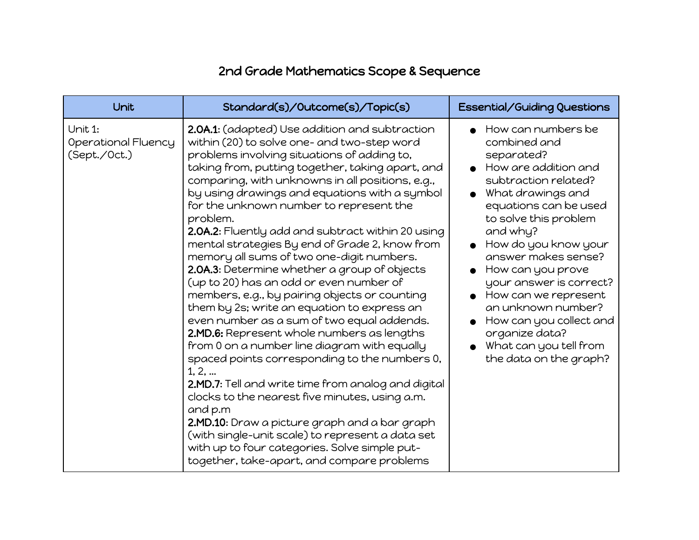## 2nd Grade Mathematics Scope & Sequence

| Unit                                           | Standard(s)/Outcome(s)/Topic(s)                                                                                                                                                                                                                                                                                                                                                                                                                                                                                                                                                                                                                                                                                                                                                                                                                                                                                                                                                                                                                                                                                                                                                                                                           | <b>Essential/Guiding Questions</b>                                                                                                                                                                                                                                                                                                                                                                                                |
|------------------------------------------------|-------------------------------------------------------------------------------------------------------------------------------------------------------------------------------------------------------------------------------------------------------------------------------------------------------------------------------------------------------------------------------------------------------------------------------------------------------------------------------------------------------------------------------------------------------------------------------------------------------------------------------------------------------------------------------------------------------------------------------------------------------------------------------------------------------------------------------------------------------------------------------------------------------------------------------------------------------------------------------------------------------------------------------------------------------------------------------------------------------------------------------------------------------------------------------------------------------------------------------------------|-----------------------------------------------------------------------------------------------------------------------------------------------------------------------------------------------------------------------------------------------------------------------------------------------------------------------------------------------------------------------------------------------------------------------------------|
| Unit 1:<br>Operational Fluency<br>(Sept./Oct.) | 2.0A.1: (adapted) Use addition and subtraction<br>within (20) to solve one- and two-step word<br>problems involving situations of adding to,<br>taking from, putting together, taking apart, and<br>comparing, with unknowns in all positions, e.g.,<br>by using drawings and equations with a symbol<br>for the unknown number to represent the<br>problem.<br>2.0A.2: Fluently add and subtract within 20 using<br>mental strategies By end of Grade 2, know from<br>memory all sums of two one-digit numbers.<br>2.0A.3: Determine whether a group of objects<br>(up to 20) has an odd or even number of<br>members, e.g., by pairing objects or counting<br>them by 2s; write an equation to express an<br>even number as a sum of two equal addends.<br>2.MD.6: Represent whole numbers as lengths<br>from 0 on a number line diagram with equally<br>spaced points corresponding to the numbers 0,<br>1, 2,<br>2.MD.7: Tell and write time from analog and digital<br>clocks to the nearest five minutes, using a.m.<br>and p.m<br>2.MD.10: Draw a picture graph and a bar graph<br>(with single-unit scale) to represent a data set<br>with up to four categories. Solve simple put-<br>together, take-apart, and compare problems | How can numbers be<br>combined and<br>separated?<br>How are addition and<br>subtraction related?<br>What drawings and<br>equations can be used<br>to solve this problem<br>and why?<br>How do you know your<br>answer makes sense?<br>How can you prove<br>your answer is correct?<br>How can we represent<br>an unknown number?<br>How can you collect and<br>organize data?<br>What can you tell from<br>the data on the graph? |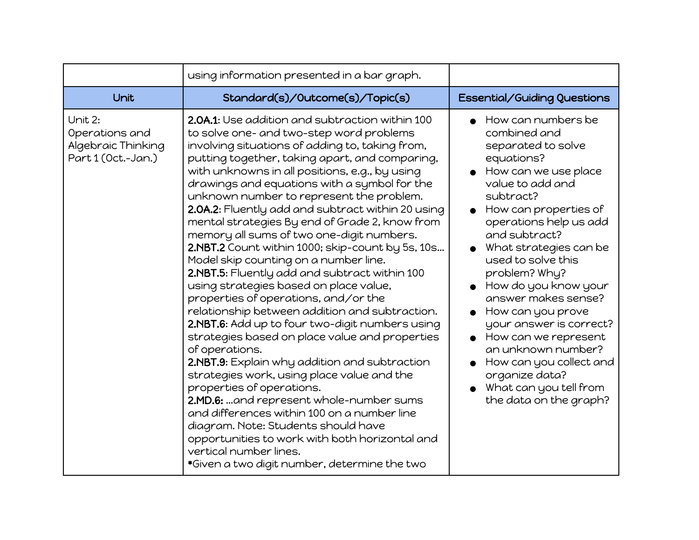|                                                                       | using information presented in a bar graph.                                                                                                                                                                                                                                                                                                                                                                                                                                                                                                                                                                                                                                                                                                                                                                                                                                                                                                                                                                                                                                                                                                                                                                                                                                                          |                                                                                                                                                                                                                                                                                                                                                                                                                                                                                                                                           |
|-----------------------------------------------------------------------|------------------------------------------------------------------------------------------------------------------------------------------------------------------------------------------------------------------------------------------------------------------------------------------------------------------------------------------------------------------------------------------------------------------------------------------------------------------------------------------------------------------------------------------------------------------------------------------------------------------------------------------------------------------------------------------------------------------------------------------------------------------------------------------------------------------------------------------------------------------------------------------------------------------------------------------------------------------------------------------------------------------------------------------------------------------------------------------------------------------------------------------------------------------------------------------------------------------------------------------------------------------------------------------------------|-------------------------------------------------------------------------------------------------------------------------------------------------------------------------------------------------------------------------------------------------------------------------------------------------------------------------------------------------------------------------------------------------------------------------------------------------------------------------------------------------------------------------------------------|
| Unit                                                                  | Standard(s)/Outcome(s)/Topic(s)                                                                                                                                                                                                                                                                                                                                                                                                                                                                                                                                                                                                                                                                                                                                                                                                                                                                                                                                                                                                                                                                                                                                                                                                                                                                      | <b>Essential/Guiding Questions</b>                                                                                                                                                                                                                                                                                                                                                                                                                                                                                                        |
| Unit 2:<br>Operations and<br>Algebraic Thinking<br>Part 1 (Oct.-Jan.) | 2.0A.1: Use addition and subtraction within 100<br>to solve one- and two-step word problems<br>involving situations of adding to, taking from,<br>putting together, taking apart, and comparing,<br>with unknowns in all positions, e.g., by using<br>drawings and equations with a symbol for the<br>unknown number to represent the problem.<br>2.0A.2: Fluently add and subtract within 20 using<br>mental strategies By end of Grade 2, know from<br>memory all sums of two one-digit numbers.<br>2.NBT.2 Count within 1000; skip-count by 5s, 10s<br>Model skip counting on a number line.<br>2.NBT.5: Fluently add and subtract within 100<br>using strategies based on place value,<br>properties of operations, and/or the<br>relationship between addition and subtraction.<br>2.NBT.6: Add up to four two-digit numbers using<br>strategies based on place value and properties<br>of operations.<br>2.NBT.9: Explain why addition and subtraction<br>strategies work, using place value and the<br>properties of operations.<br>2.MD.6: and represent whole-number sums<br>and differences within 100 on a number line<br>diagram. Note: Students should have<br>opportunities to work with both horizontal and<br>vertical number lines.<br>*Given a two digit number, determine the two | $\bullet$ How can numbers be<br>combined and<br>separated to solve<br>equations?<br>How can we use place<br>value to add and<br>subtract?<br>How can properties of<br>operations help us add<br>and subtract?<br>What strategies can be<br>used to solve this<br>problem? Why?<br>How do you know your<br>answer makes sense?<br>How can you prove<br>$\bullet$<br>your answer is correct?<br>How can we represent<br>an unknown number?<br>How can you collect and<br>organize data?<br>What can you tell from<br>the data on the graph? |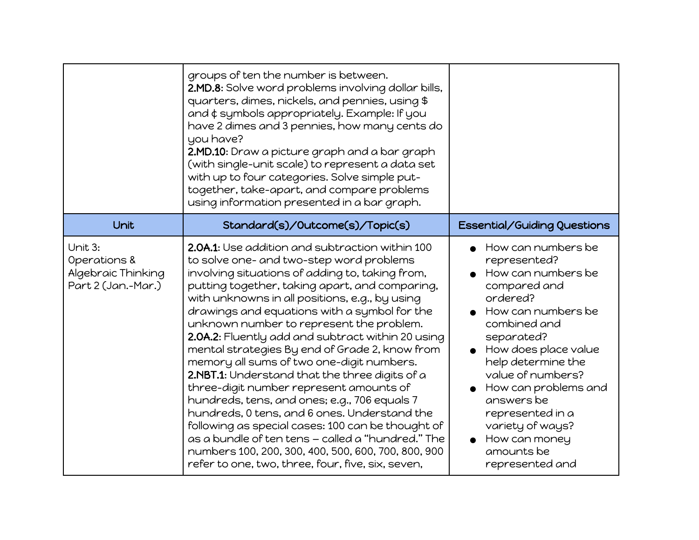|                                                                     | groups of ten the number is between.<br>2.MD.8: Solve word problems involving dollar bills,<br>quarters, dimes, nickels, and pennies, using \$<br>and ¢ symbols appropriately. Example: If you<br>have 2 dimes and 3 pennies, how many cents do<br>you have?<br>2.MD.10: Draw a picture graph and a bar graph<br>(with single-unit scale) to represent a data set<br>with up to four categories. Solve simple put-<br>together, take-apart, and compare problems<br>using information presented in a bar graph.                                                                                                                                                                                                                                                                                                                                                                                                       |                                                                                                                                                                                                                                                                                                                                             |
|---------------------------------------------------------------------|-----------------------------------------------------------------------------------------------------------------------------------------------------------------------------------------------------------------------------------------------------------------------------------------------------------------------------------------------------------------------------------------------------------------------------------------------------------------------------------------------------------------------------------------------------------------------------------------------------------------------------------------------------------------------------------------------------------------------------------------------------------------------------------------------------------------------------------------------------------------------------------------------------------------------|---------------------------------------------------------------------------------------------------------------------------------------------------------------------------------------------------------------------------------------------------------------------------------------------------------------------------------------------|
| Unit                                                                | Standard(s)/Outcome(s)/Topic(s)                                                                                                                                                                                                                                                                                                                                                                                                                                                                                                                                                                                                                                                                                                                                                                                                                                                                                       | Essential/Guiding Questions                                                                                                                                                                                                                                                                                                                 |
| Unit 3:<br>Operations &<br>Algebraic Thinking<br>Part 2 (Jan.-Mar.) | 2.0A.1: Use addition and subtraction within 100<br>to solve one- and two-step word problems<br>involving situations of adding to, taking from,<br>putting together, taking apart, and comparing,<br>with unknowns in all positions, e.g., by using<br>drawings and equations with a symbol for the<br>unknown number to represent the problem.<br>2.0A.2: Fluently add and subtract within 20 using<br>mental strategies By end of Grade 2, know from<br>memory all sums of two one-digit numbers.<br>2.NBT.1: Understand that the three digits of a<br>three-digit number represent amounts of<br>hundreds, tens, and ones; e.g., 706 equals 7<br>hundreds, 0 tens, and 6 ones. Understand the<br>following as special cases: 100 can be thought of<br>as a bundle of ten tens - called a "hundred." The<br>numbers 100, 200, 300, 400, 500, 600, 700, 800, 900<br>refer to one, two, three, four, five, six, seven, | How can numbers be<br>represented?<br>How can numbers be<br>compared and<br>ordered?<br>How can numbers be<br>combined and<br>separated?<br>How does place value<br>help determine the<br>value of numbers?<br>How can problems and<br>answers be<br>represented in a<br>variety of ways?<br>How can money<br>amounts be<br>represented and |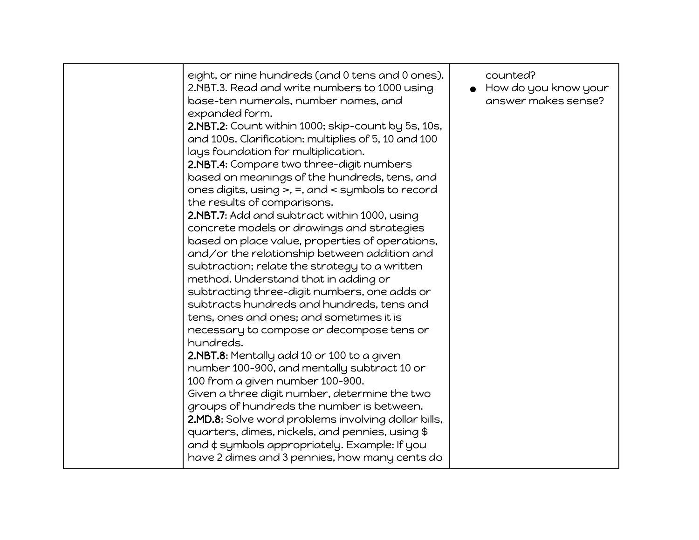| eight, or nine hundreds (and 0 tens and 0 ones).<br>2.NBT.3. Read and write numbers to 1000 using<br>base-ten numerals, number names, and<br>expanded form.<br>2.NBT.2: Count within 1000; skip-count by 5s, 10s,<br>and 100s. Clarification: multiplies of 5, 10 and 100<br>lays foundation for multiplication.<br>2.NBT.4: Compare two three-digit numbers<br>based on meanings of the hundreds, tens, and<br>ones digits, using $>$ , =, and $\lt$ symbols to record<br>the results of comparisons.<br>2.NBT.7: Add and subtract within 1000, using<br>concrete models or drawings and strategies<br>based on place value, properties of operations,<br>and/or the relationship between addition and<br>subtraction; relate the strategy to a written<br>method. Understand that in adding or<br>subtracting three-digit numbers, one adds or<br>subtracts hundreds and hundreds, tens and<br>tens, ones and ones; and sometimes it is<br>necessary to compose or decompose tens or<br>hundreds.<br>2.NBT.8: Mentally add 10 or 100 to a given<br>number 100-900, and mentally subtract 10 or<br>100 from a given number 100-900.<br>Given a three digit number, determine the two<br>groups of hundreds the number is between.<br>2.MD.8: Solve word problems involving dollar bills,<br>quarters, dimes, nickels, and pennies, using \$<br>and $\phi$ symbols appropriately. Example: If you<br>have 2 dimes and 3 pennies, how many cents do | counted?<br>How do you know your<br>answer makes sense? |
|----------------------------------------------------------------------------------------------------------------------------------------------------------------------------------------------------------------------------------------------------------------------------------------------------------------------------------------------------------------------------------------------------------------------------------------------------------------------------------------------------------------------------------------------------------------------------------------------------------------------------------------------------------------------------------------------------------------------------------------------------------------------------------------------------------------------------------------------------------------------------------------------------------------------------------------------------------------------------------------------------------------------------------------------------------------------------------------------------------------------------------------------------------------------------------------------------------------------------------------------------------------------------------------------------------------------------------------------------------------------------------------------------------------------------------------------------|---------------------------------------------------------|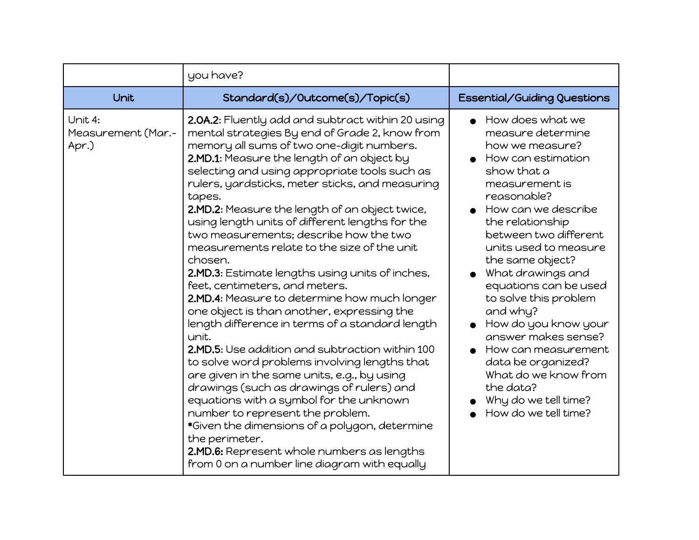|                                        | you have?                                                                                                                                                                                                                                                                                                                                                                                                                                                                                                                                                                                                                                                                                                                                                                                                                                                                                                                                                                                                                                                                                                                                                                                                            |                                                                                                                                                                                                                                                                                                                                                                                                                                                                                                                               |
|----------------------------------------|----------------------------------------------------------------------------------------------------------------------------------------------------------------------------------------------------------------------------------------------------------------------------------------------------------------------------------------------------------------------------------------------------------------------------------------------------------------------------------------------------------------------------------------------------------------------------------------------------------------------------------------------------------------------------------------------------------------------------------------------------------------------------------------------------------------------------------------------------------------------------------------------------------------------------------------------------------------------------------------------------------------------------------------------------------------------------------------------------------------------------------------------------------------------------------------------------------------------|-------------------------------------------------------------------------------------------------------------------------------------------------------------------------------------------------------------------------------------------------------------------------------------------------------------------------------------------------------------------------------------------------------------------------------------------------------------------------------------------------------------------------------|
| Unit                                   | Standard(s)/Outcome(s)/Topic(s)                                                                                                                                                                                                                                                                                                                                                                                                                                                                                                                                                                                                                                                                                                                                                                                                                                                                                                                                                                                                                                                                                                                                                                                      | Essential/Guiding Questions                                                                                                                                                                                                                                                                                                                                                                                                                                                                                                   |
| Unit 4:<br>Measurement (Mar.-<br>Apr.) | 2.0A.2: Fluently add and subtract within 20 using<br>mental strategies By end of Grade 2, know from<br>memory all sums of two one-digit numbers.<br>2.MD.1: Measure the length of an object by<br>selecting and using appropriate tools such as<br>rulers, yardsticks, meter sticks, and measuring<br>tapes.<br>2.MD.2: Measure the length of an object twice,<br>using length units of different lengths for the<br>two measurements; describe how the two<br>measurements relate to the size of the unit<br>chosen.<br>2.MD.3: Estimate lengths using units of inches,<br>feet, centimeters, and meters.<br>2.MD.4: Measure to determine how much longer<br>one object is than another, expressing the<br>length difference in terms of a standard length<br>unit.<br>2.MD.5: Use addition and subtraction within 100<br>to solve word problems involving lengths that<br>are given in the same units, e.g., by using<br>drawings (such as drawings of rulers) and<br>equations with a symbol for the unknown<br>number to represent the problem.<br>*Given the dimensions of a polygon, determine<br>the perimeter.<br>2.MD.6: Represent whole numbers as lengths<br>from 0 on a number line diagram with equally | $\bullet$ How does what we<br>measure determine<br>how we measure?<br>How can estimation<br>show that a<br>measurement is<br>reasonable?<br>How can we describe<br>the relationship<br>between two different<br>units used to measure<br>the same object?<br>What drawings and<br>equations can be used<br>to solve this problem<br>and why?<br>How do you know your<br>answer makes sense?<br>How can measurement<br>data be organized?<br>What do we know from<br>the data?<br>Why do we tell time?<br>How do we tell time? |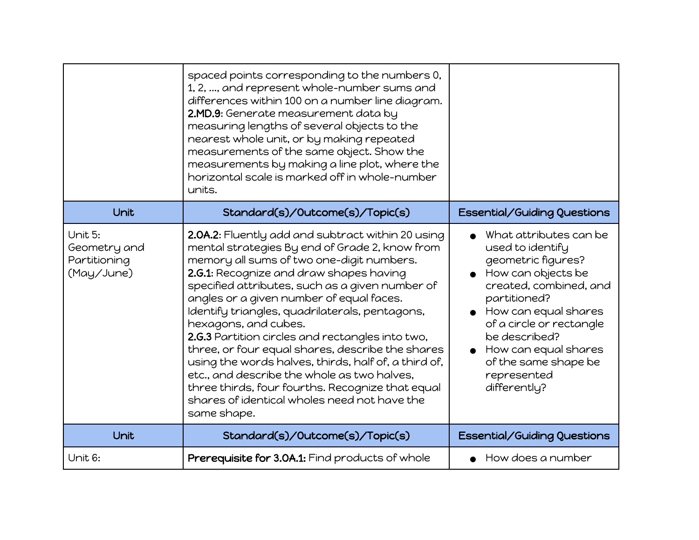|                                                       | spaced points corresponding to the numbers 0,<br>1, 2, , and represent whole-number sums and<br>differences within 100 on a number line diagram.<br>2.MD.9: Generate measurement data by<br>measuring lengths of several objects to the<br>nearest whole unit, or by making repeated<br>measurements of the same object. Show the<br>measurements by making a line plot, where the<br>horizontal scale is marked off in whole-number<br>units.                                                                                                                                                                                                                                                         |                                                                                                                                                                                                                                                                                                                    |
|-------------------------------------------------------|--------------------------------------------------------------------------------------------------------------------------------------------------------------------------------------------------------------------------------------------------------------------------------------------------------------------------------------------------------------------------------------------------------------------------------------------------------------------------------------------------------------------------------------------------------------------------------------------------------------------------------------------------------------------------------------------------------|--------------------------------------------------------------------------------------------------------------------------------------------------------------------------------------------------------------------------------------------------------------------------------------------------------------------|
| Unit                                                  | Standard(s)/Outcome(s)/Topic(s)                                                                                                                                                                                                                                                                                                                                                                                                                                                                                                                                                                                                                                                                        | Essential/Guiding Questions                                                                                                                                                                                                                                                                                        |
| Unit 5:<br>Geometry and<br>Partitioning<br>(May/June) | 2.0A.2: Fluently add and subtract within 20 using<br>mental strategies By end of Grade 2, know from<br>memory all sums of two one-digit numbers.<br>2.G.1: Recognize and draw shapes having<br>specified attributes, such as a given number of<br>angles or a given number of equal faces.<br>Identify triangles, quadrilaterals, pentagons,<br>hexagons, and cubes.<br>2.G.3 Partition circles and rectangles into two,<br>three, or four equal shares, describe the shares<br>using the words halves, thirds, half of, a third of,<br>etc., and describe the whole as two halves,<br>three thirds, four fourths. Recognize that equal<br>shares of identical wholes need not have the<br>same shape. | What attributes can be<br>used to identify<br>geometric figures?<br>$\bullet$ How can objects be<br>created, combined, and<br>partitioned?<br>$\bullet$ How can equal shares<br>of a circle or rectangle<br>be described?<br>$\bullet$ How can equal shares<br>of the same shape be<br>represented<br>differently? |
| Unit                                                  | Standard(s)/Outcome(s)/Topic(s)                                                                                                                                                                                                                                                                                                                                                                                                                                                                                                                                                                                                                                                                        | Essential/Guiding Questions                                                                                                                                                                                                                                                                                        |
| Unit 6:                                               | Prerequisite for 3.0A.1: Find products of whole                                                                                                                                                                                                                                                                                                                                                                                                                                                                                                                                                                                                                                                        | $\bullet$ How does a number                                                                                                                                                                                                                                                                                        |